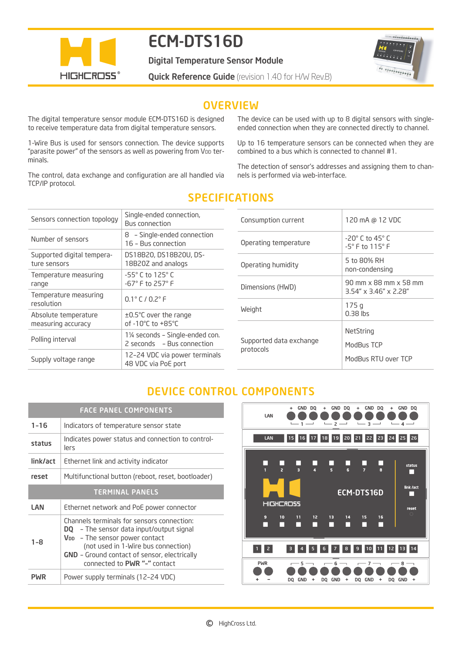

# ECM-DTS16D

Digital Temperature Sensor Module

**Quick Reference Guide** (revision 1.40 for H/W Rev.B)



### **OVERVIEW**

The digital temperature sensor module ECM-DTS16D is designed to receive temperature data from digital temperature sensors.

1-Wire Bus is used for sensors connection. The device supports "parasite power" of the sensors as well as powering from VDD terminals.

The control, data exchange and configuration are all handled via TCP/IP protocol.

The device can be used with up to 8 digital sensors with singleended connection when they are connected directly to channel.

Up to 16 temperature sensors can be connected when they are combined to a bus which is connected to channel #1.

The detection of sensor's addresses and assigning them to channels is performed via web-interface.

| Sensors connection topology                | Single-ended connection,<br><b>Bus connection</b>                |
|--------------------------------------------|------------------------------------------------------------------|
| Number of sensors                          | 8 - Single-ended connection<br>16 - Bus connection               |
| Supported digital tempera-<br>ture sensors | DS18B20, DS18B20U, DS-<br>18B20Z and analogs                     |
| Temperature measuring<br>range             | $-55^{\circ}$ C to 125 $^{\circ}$ C<br>$-67^{\circ}$ F to 257° F |
| Temperature measuring<br>resolution        | $0.1^{\circ}$ C / $0.2^{\circ}$ F                                |
| Absolute temperature<br>measuring accuracy | $\pm 0.5^{\circ}$ C over the range<br>of -10°C to +85°C          |
| Polling interval                           | 1¼ seconds - Single-ended con.<br>2 seconds - Bus connection     |
| Supply voltage range                       | 12-24 VDC via power terminals<br>48 VDC via PoE port             |

# SPECIFICATIONS

| Consumption current                  | 120 mA @ 12 VDC                                                 |
|--------------------------------------|-----------------------------------------------------------------|
| Operating temperature                | $-20^\circ$ C to 45 $^\circ$ C<br>$-5^\circ$ F to $115^\circ$ F |
| Operating humidity                   | 5 to 80% RH<br>non-condensing                                   |
| Dimensions (HWD)                     | 90 mm x 88 mm x 58 mm<br>$3.54'' \times 3.46'' \times 2.28''$   |
| Weight                               | 175q<br>$0.38$ lbs                                              |
| Supported data exchange<br>protocols | NetString<br>ModBus TCP<br>ModBus RTU over TCP                  |

## DEVICE CONTROL COMPONENTS

| <b>FACE PANEL COMPONENTS</b> |                                                                                                                                                                                                                                                                           |  |
|------------------------------|---------------------------------------------------------------------------------------------------------------------------------------------------------------------------------------------------------------------------------------------------------------------------|--|
| $1 - 16$                     | Indicators of temperature sensor state                                                                                                                                                                                                                                    |  |
| status                       | Indicates power status and connection to control-<br>lers                                                                                                                                                                                                                 |  |
| link/act                     | Ethernet link and activity indicator                                                                                                                                                                                                                                      |  |
| reset                        | Multifunctional button (reboot, reset, bootloader)                                                                                                                                                                                                                        |  |
| <b>TERMINAL PANELS</b>       |                                                                                                                                                                                                                                                                           |  |
| LAN                          | Ethernet network and PoE power connector                                                                                                                                                                                                                                  |  |
| $1 - 8$                      | Channels terminals for sensors connection:<br><b>DQ</b> – The sensor data input/output signal<br>V <sub>DD</sub> - The sensor power contact<br>(not used in 1-Wire bus connection)<br><b>GND</b> - Ground contact of sensor, electrically<br>connected to PWR "-" contact |  |
| <b>PWR</b>                   | Power supply terminals (12-24 VDC)                                                                                                                                                                                                                                        |  |